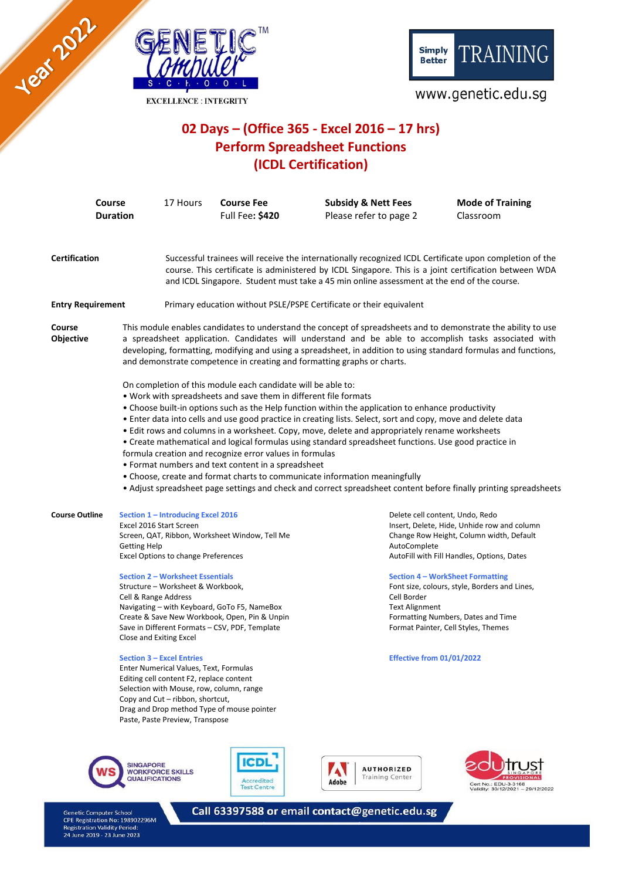

**EXCELLENCE: INTEGRITY** 



# www.genetic.edu.sg

# 02 Days - (Office 365 - Excel 2016 - 17 hrs) **Perform Spreadsheet Functions** (ICDL Certification)

| <b>Course</b><br><b>Duration</b><br><b>Certification</b> |                                                                                                   | 17 Hours                                                                                                                                                                                                                                                                                                                                                                                                                                                                                                                                                                                                                                                                                                                                                                                                                                                                                                                                                                                                                                                                                                                                                                                                                                                                                                        | <b>Course Fee</b><br><b>Full Fee: \$420</b>                                                                                                                                                                                                                                                 | <b>Subsidy &amp; Nett Fees</b><br>Please refer to page 2 |                                                                                                                             | <b>Mode of Training</b><br>Classroom                                                                                                                                                                                                                                                                           |  |
|----------------------------------------------------------|---------------------------------------------------------------------------------------------------|-----------------------------------------------------------------------------------------------------------------------------------------------------------------------------------------------------------------------------------------------------------------------------------------------------------------------------------------------------------------------------------------------------------------------------------------------------------------------------------------------------------------------------------------------------------------------------------------------------------------------------------------------------------------------------------------------------------------------------------------------------------------------------------------------------------------------------------------------------------------------------------------------------------------------------------------------------------------------------------------------------------------------------------------------------------------------------------------------------------------------------------------------------------------------------------------------------------------------------------------------------------------------------------------------------------------|---------------------------------------------------------------------------------------------------------------------------------------------------------------------------------------------------------------------------------------------------------------------------------------------|----------------------------------------------------------|-----------------------------------------------------------------------------------------------------------------------------|----------------------------------------------------------------------------------------------------------------------------------------------------------------------------------------------------------------------------------------------------------------------------------------------------------------|--|
|                                                          |                                                                                                   | Successful trainees will receive the internationally recognized ICDL Certificate upon completion of the<br>course. This certificate is administered by ICDL Singapore. This is a joint certification between WDA<br>and ICDL Singapore. Student must take a 45 min online assessment at the end of the course.                                                                                                                                                                                                                                                                                                                                                                                                                                                                                                                                                                                                                                                                                                                                                                                                                                                                                                                                                                                                  |                                                                                                                                                                                                                                                                                             |                                                          |                                                                                                                             |                                                                                                                                                                                                                                                                                                                |  |
| <b>Entry Requirement</b>                                 |                                                                                                   | Primary education without PSLE/PSPE Certificate or their equivalent                                                                                                                                                                                                                                                                                                                                                                                                                                                                                                                                                                                                                                                                                                                                                                                                                                                                                                                                                                                                                                                                                                                                                                                                                                             |                                                                                                                                                                                                                                                                                             |                                                          |                                                                                                                             |                                                                                                                                                                                                                                                                                                                |  |
| Course<br>Objective                                      |                                                                                                   | This module enables candidates to understand the concept of spreadsheets and to demonstrate the ability to use<br>a spreadsheet application. Candidates will understand and be able to accomplish tasks associated with<br>developing, formatting, modifying and using a spreadsheet, in addition to using standard formulas and functions,<br>and demonstrate competence in creating and formatting graphs or charts.<br>On completion of this module each candidate will be able to:<br>. Work with spreadsheets and save them in different file formats<br>• Choose built-in options such as the Help function within the application to enhance productivity<br>• Enter data into cells and use good practice in creating lists. Select, sort and copy, move and delete data<br>· Edit rows and columns in a worksheet. Copy, move, delete and appropriately rename worksheets<br>• Create mathematical and logical formulas using standard spreadsheet functions. Use good practice in<br>formula creation and recognize error values in formulas<br>• Format numbers and text content in a spreadsheet<br>• Choose, create and format charts to communicate information meaningfully<br>• Adjust spreadsheet page settings and check and correct spreadsheet content before finally printing spreadsheets |                                                                                                                                                                                                                                                                                             |                                                          |                                                                                                                             |                                                                                                                                                                                                                                                                                                                |  |
| <b>Course Outline</b>                                    | Excel 2016 Start Screen<br><b>Getting Help</b><br>Cell & Range Address<br>Close and Exiting Excel | Section 1 - Introducing Excel 2016<br><b>Excel Options to change Preferences</b><br><b>Section 2 - Worksheet Essentials</b><br>Structure - Worksheet & Workbook,<br><b>Section 3 - Excel Entries</b><br>Enter Numerical Values, Text, Formulas<br>Editing cell content F2, replace content<br>Copy and Cut - ribbon, shortcut,                                                                                                                                                                                                                                                                                                                                                                                                                                                                                                                                                                                                                                                                                                                                                                                                                                                                                                                                                                                  | Screen, QAT, Ribbon, Worksheet Window, Tell Me<br>Navigating - with Keyboard, GoTo F5, NameBox<br>Create & Save New Workbook, Open, Pin & Unpin<br>Save in Different Formats - CSV, PDF, Template<br>Selection with Mouse, row, column, range<br>Drag and Drop method Type of mouse pointer |                                                          | Delete cell content, Undo, Redo<br>AutoComplete<br>Cell Border<br><b>Text Alignment</b><br><b>Effective from 01/01/2022</b> | Insert, Delete, Hide, Unhide row and column<br>Change Row Height, Column width, Default<br>AutoFill with Fill Handles, Options, Dates<br><b>Section 4 - WorkSheet Formatting</b><br>Font size, colours, style, Borders and Lines,<br>Formatting Numbers, Dates and Time<br>Format Painter, Cell Styles, Themes |  |
|                                                          |                                                                                                   | Paste, Paste Preview, Transpose                                                                                                                                                                                                                                                                                                                                                                                                                                                                                                                                                                                                                                                                                                                                                                                                                                                                                                                                                                                                                                                                                                                                                                                                                                                                                 |                                                                                                                                                                                                                                                                                             |                                                          |                                                                                                                             |                                                                                                                                                                                                                                                                                                                |  |









Genetic Computer School<br>CPE Registration No: 198902296M<br>Registration Validity Period:<br>24 June 2019 - 23 June 2023

Call 63397588 or email contact@genetic.edu.sg